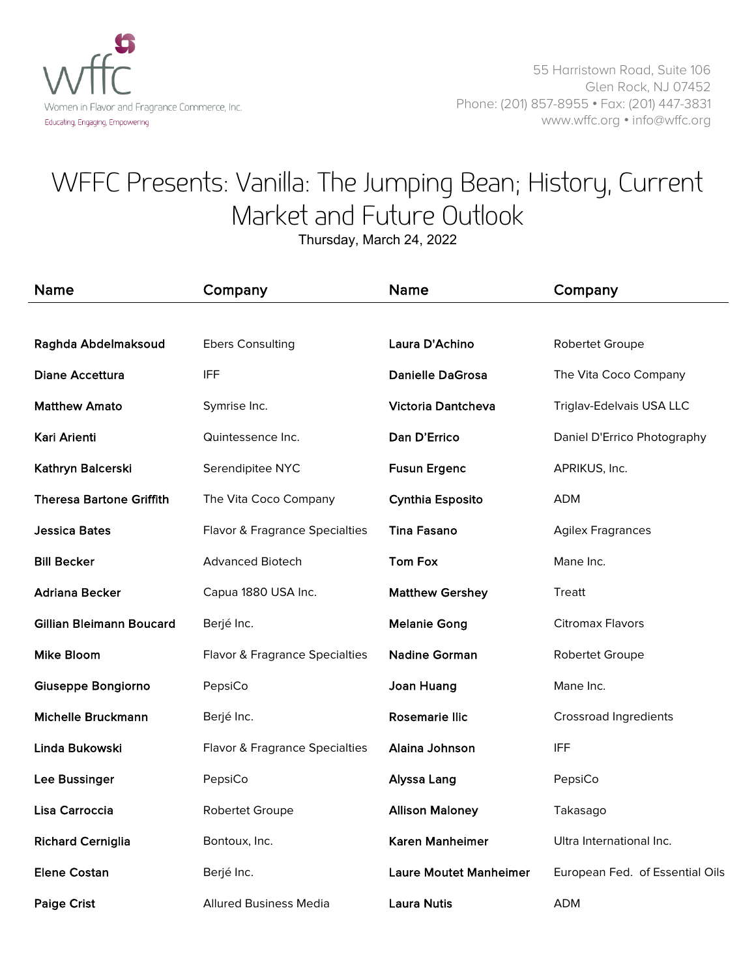

55 Harristown Road, Suite 106 Glen Rock, NJ 07452 Phone: (201) 857-8955 • Fax: (201) 447-3831 www.wffc.org • info@wffc.org

## WFFC Presents: Vanilla: The Jumping Bean; History, Current Market and Future Outlook

Thursday, March 24, 2022

| <b>Name</b>                     | Company                        | Name                          | Company                         |
|---------------------------------|--------------------------------|-------------------------------|---------------------------------|
|                                 |                                |                               |                                 |
| Raghda Abdelmaksoud             | <b>Ebers Consulting</b>        | Laura D'Achino                | Robertet Groupe                 |
| Diane Accettura                 | IFF                            | <b>Danielle DaGrosa</b>       | The Vita Coco Company           |
| <b>Matthew Amato</b>            | Symrise Inc.                   | <b>Victoria Dantcheva</b>     | Triglav-Edelvais USA LLC        |
| Kari Arienti                    | Quintessence Inc.              | Dan D'Errico                  | Daniel D'Errico Photography     |
| Kathryn Balcerski               | Serendipitee NYC               | <b>Fusun Ergenc</b>           | APRIKUS, Inc.                   |
| <b>Theresa Bartone Griffith</b> | The Vita Coco Company          | <b>Cynthia Esposito</b>       | ADM                             |
| <b>Jessica Bates</b>            | Flavor & Fragrance Specialties | <b>Tina Fasano</b>            | <b>Agilex Fragrances</b>        |
| <b>Bill Becker</b>              | <b>Advanced Biotech</b>        | <b>Tom Fox</b>                | Mane Inc.                       |
| <b>Adriana Becker</b>           | Capua 1880 USA Inc.            | <b>Matthew Gershey</b>        | <b>Treatt</b>                   |
| Gillian Bleimann Boucard        | Berjé Inc.                     | <b>Melanie Gong</b>           | <b>Citromax Flavors</b>         |
| <b>Mike Bloom</b>               | Flavor & Fragrance Specialties | <b>Nadine Gorman</b>          | Robertet Groupe                 |
| Giuseppe Bongiorno              | PepsiCo                        | Joan Huang                    | Mane Inc.                       |
| <b>Michelle Bruckmann</b>       | Berjé Inc.                     | <b>Rosemarie Ilic</b>         | <b>Crossroad Ingredients</b>    |
| Linda Bukowski                  | Flavor & Fragrance Specialties | Alaina Johnson                | <b>IFF</b>                      |
| Lee Bussinger                   | PepsiCo                        | Alyssa Lang                   | PepsiCo                         |
| Lisa Carroccia                  | Robertet Groupe                | <b>Allison Maloney</b>        | Takasago                        |
| <b>Richard Cerniglia</b>        | Bontoux, Inc.                  | Karen Manheimer               | Ultra International Inc.        |
| <b>Elene Costan</b>             | Berjé Inc.                     | <b>Laure Moutet Manheimer</b> | European Fed. of Essential Oils |
| <b>Paige Crist</b>              | Allured Business Media         | <b>Laura Nutis</b>            | ADM                             |